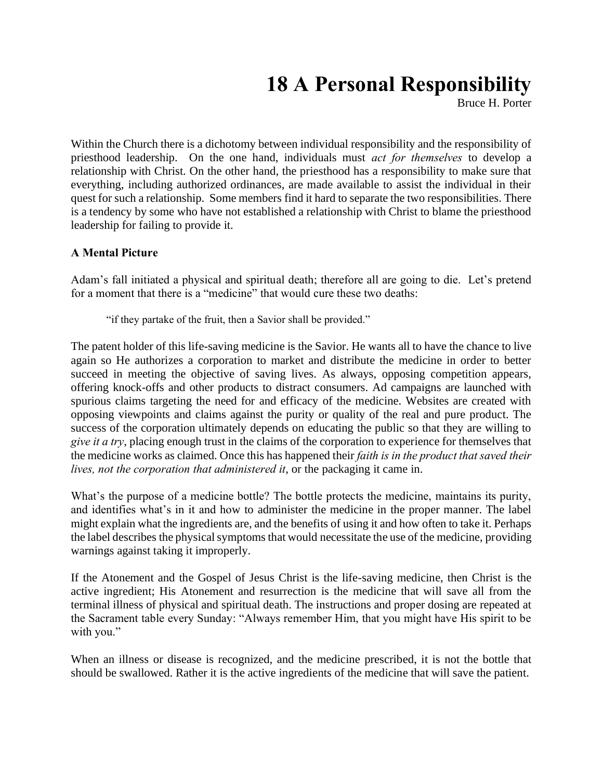## **18 A Personal Responsibility**

Bruce H. Porter

Within the Church there is a dichotomy between individual responsibility and the responsibility of priesthood leadership. On the one hand, individuals must *act for themselves* to develop a relationship with Christ. On the other hand, the priesthood has a responsibility to make sure that everything, including authorized ordinances, are made available to assist the individual in their quest for such a relationship. Some members find it hard to separate the two responsibilities. There is a tendency by some who have not established a relationship with Christ to blame the priesthood leadership for failing to provide it.

## **A Mental Picture**

Adam's fall initiated a physical and spiritual death; therefore all are going to die. Let's pretend for a moment that there is a "medicine" that would cure these two deaths:

"if they partake of the fruit, then a Savior shall be provided."

The patent holder of this life-saving medicine is the Savior. He wants all to have the chance to live again so He authorizes a corporation to market and distribute the medicine in order to better succeed in meeting the objective of saving lives. As always, opposing competition appears, offering knock-offs and other products to distract consumers. Ad campaigns are launched with spurious claims targeting the need for and efficacy of the medicine. Websites are created with opposing viewpoints and claims against the purity or quality of the real and pure product. The success of the corporation ultimately depends on educating the public so that they are willing to *give it a try*, placing enough trust in the claims of the corporation to experience for themselves that the medicine works as claimed. Once this has happened their *faith is in the product that saved their lives, not the corporation that administered it*, or the packaging it came in.

What's the purpose of a medicine bottle? The bottle protects the medicine, maintains its purity, and identifies what's in it and how to administer the medicine in the proper manner. The label might explain what the ingredients are, and the benefits of using it and how often to take it. Perhaps the label describes the physical symptoms that would necessitate the use of the medicine, providing warnings against taking it improperly.

If the Atonement and the Gospel of Jesus Christ is the life-saving medicine, then Christ is the active ingredient; His Atonement and resurrection is the medicine that will save all from the terminal illness of physical and spiritual death. The instructions and proper dosing are repeated at the Sacrament table every Sunday: "Always remember Him, that you might have His spirit to be with you."

When an illness or disease is recognized, and the medicine prescribed, it is not the bottle that should be swallowed. Rather it is the active ingredients of the medicine that will save the patient.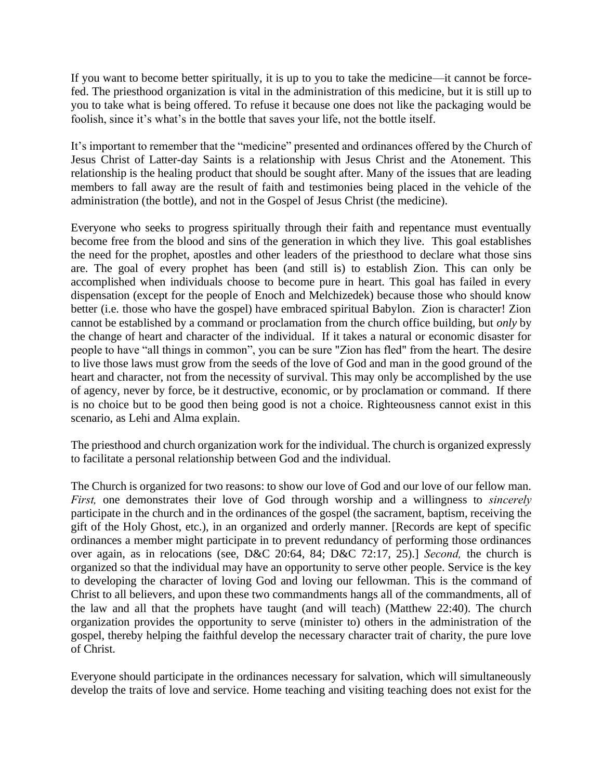If you want to become better spiritually, it is up to you to take the medicine—it cannot be forcefed. The priesthood organization is vital in the administration of this medicine, but it is still up to you to take what is being offered. To refuse it because one does not like the packaging would be foolish, since it's what's in the bottle that saves your life, not the bottle itself.

It's important to remember that the "medicine" presented and ordinances offered by the Church of Jesus Christ of Latter-day Saints is a relationship with Jesus Christ and the Atonement. This relationship is the healing product that should be sought after. Many of the issues that are leading members to fall away are the result of faith and testimonies being placed in the vehicle of the administration (the bottle), and not in the Gospel of Jesus Christ (the medicine).

Everyone who seeks to progress spiritually through their faith and repentance must eventually become free from the blood and sins of the generation in which they live. This goal establishes the need for the prophet, apostles and other leaders of the priesthood to declare what those sins are. The goal of every prophet has been (and still is) to establish Zion. This can only be accomplished when individuals choose to become pure in heart. This goal has failed in every dispensation (except for the people of Enoch and Melchizedek) because those who should know better (i.e. those who have the gospel) have embraced spiritual Babylon. Zion is character! Zion cannot be established by a command or proclamation from the church office building, but *only* by the change of heart and character of the individual. If it takes a natural or economic disaster for people to have "all things in common", you can be sure "Zion has fled" from the heart. The desire to live those laws must grow from the seeds of the love of God and man in the good ground of the heart and character, not from the necessity of survival. This may only be accomplished by the use of agency, never by force, be it destructive, economic, or by proclamation or command. If there is no choice but to be good then being good is not a choice. Righteousness cannot exist in this scenario, as Lehi and Alma explain.

The priesthood and church organization work for the individual. The church is organized expressly to facilitate a personal relationship between God and the individual.

The Church is organized for two reasons: to show our love of God and our love of our fellow man. *First,* one demonstrates their love of God through worship and a willingness to *sincerely* participate in the church and in the ordinances of the gospel (the sacrament, baptism, receiving the gift of the Holy Ghost, etc.), in an organized and orderly manner. [Records are kept of specific ordinances a member might participate in to prevent redundancy of performing those ordinances over again, as in relocations (see, D&C 20:64, 84; D&C 72:17, 25).] *Second,* the church is organized so that the individual may have an opportunity to serve other people. Service is the key to developing the character of loving God and loving our fellowman. This is the command of Christ to all believers, and upon these two commandments hangs all of the commandments, all of the law and all that the prophets have taught (and will teach) [\(Matthew 22:40\)](http://classic.scriptures.lds.org/en/matt/22/40). The church organization provides the opportunity to serve (minister to) others in the administration of the gospel, thereby helping the faithful develop the necessary character trait of charity, the pure love of Christ.

Everyone should participate in the ordinances necessary for salvation, which will simultaneously develop the traits of love and service. Home teaching and visiting teaching does not exist for the